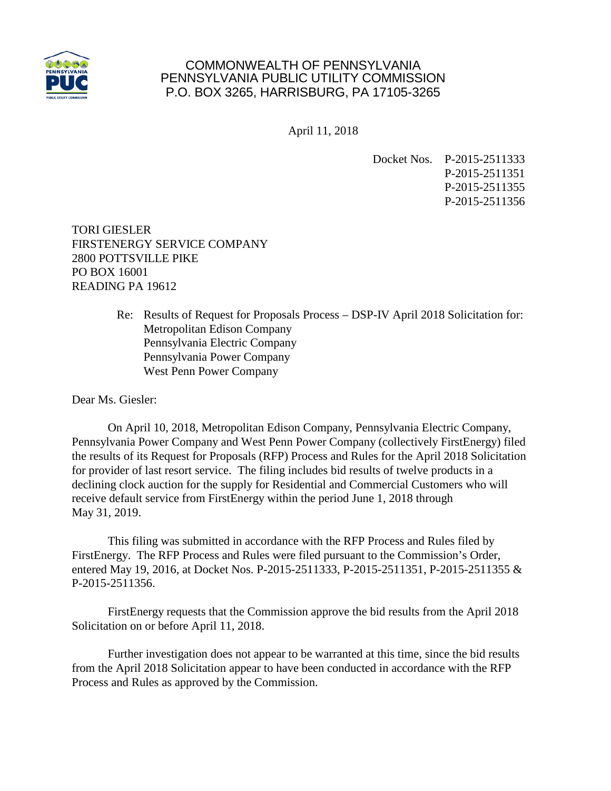

## COMMONWEALTH OF PENNSYLVANIA PENNSYLVANIA PUBLIC UTILITY COMMISSION P.O. BOX 3265, HARRISBURG, PA 17105-3265

April 11, 2018

Docket Nos. P-2015-2511333 P-2015-2511351 P-2015-2511355 P-2015-2511356

TORI GIESLER FIRSTENERGY SERVICE COMPANY 2800 POTTSVILLE PIKE PO BOX 16001 READING PA 19612

> Re: Results of Request for Proposals Process – DSP-IV April 2018 Solicitation for: Metropolitan Edison Company Pennsylvania Electric Company Pennsylvania Power Company West Penn Power Company

Dear Ms. Giesler:

On April 10, 2018, Metropolitan Edison Company, Pennsylvania Electric Company, Pennsylvania Power Company and West Penn Power Company (collectively FirstEnergy) filed the results of its Request for Proposals (RFP) Process and Rules for the April 2018 Solicitation for provider of last resort service. The filing includes bid results of twelve products in a declining clock auction for the supply for Residential and Commercial Customers who will receive default service from FirstEnergy within the period June 1, 2018 through May 31, 2019.

This filing was submitted in accordance with the RFP Process and Rules filed by FirstEnergy. The RFP Process and Rules were filed pursuant to the Commission's Order, entered May 19, 2016, at Docket Nos. P-2015-2511333, P-2015-2511351, P-2015-2511355 & P-2015-2511356.

FirstEnergy requests that the Commission approve the bid results from the April 2018 Solicitation on or before April 11, 2018.

Further investigation does not appear to be warranted at this time, since the bid results from the April 2018 Solicitation appear to have been conducted in accordance with the RFP Process and Rules as approved by the Commission.